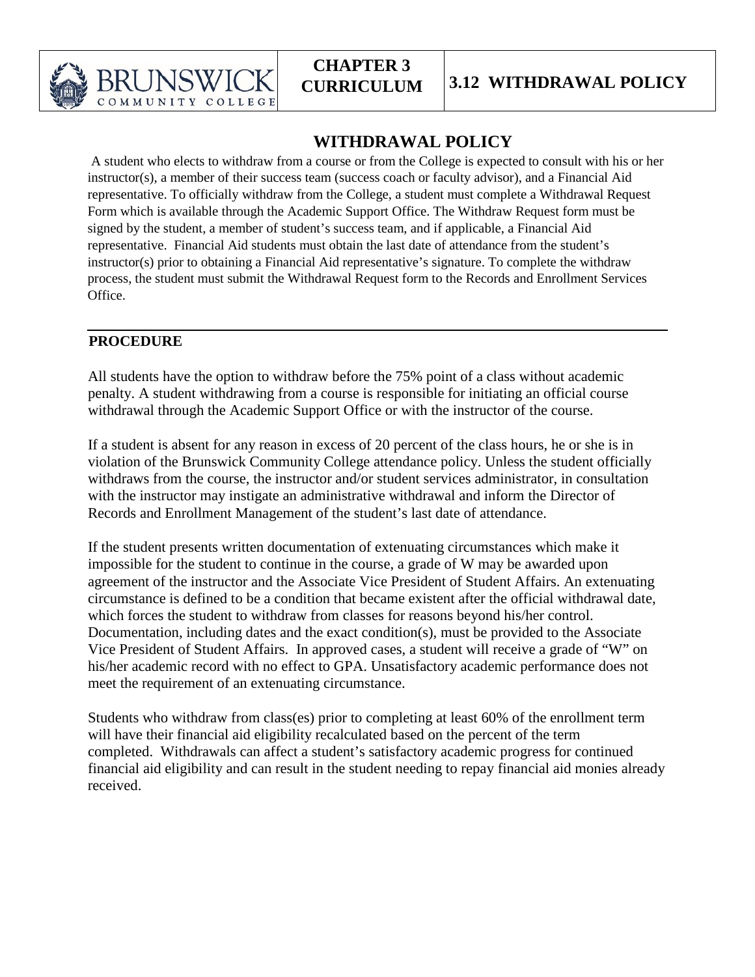

## **WITHDRAWAL POLICY**

A student who elects to withdraw from a course or from the College is expected to consult with his or her instructor(s), a member of their success team (success coach or faculty advisor), and a Financial Aid representative. To officially withdraw from the College, a student must complete a Withdrawal Request Form which is available through the Academic Support Office. The Withdraw Request form must be signed by the student, a member of student's success team, and if applicable, a Financial Aid representative. Financial Aid students must obtain the last date of attendance from the student's instructor(s) prior to obtaining a Financial Aid representative's signature. To complete the withdraw process, the student must submit the Withdrawal Request form to the Records and Enrollment Services Office.

## **PROCEDURE**

All students have the option to withdraw before the 75% point of a class without academic penalty. A student withdrawing from a course is responsible for initiating an official course withdrawal through the Academic Support Office or with the instructor of the course.

If a student is absent for any reason in excess of 20 percent of the class hours, he or she is in violation of the Brunswick Community College attendance policy. Unless the student officially withdraws from the course, the instructor and/or student services administrator, in consultation with the instructor may instigate an administrative withdrawal and inform the Director of Records and Enrollment Management of the student's last date of attendance.

If the student presents written documentation of extenuating circumstances which make it impossible for the student to continue in the course, a grade of W may be awarded upon agreement of the instructor and the Associate Vice President of Student Affairs. An extenuating circumstance is defined to be a condition that became existent after the official withdrawal date, which forces the student to withdraw from classes for reasons beyond his/her control. Documentation, including dates and the exact condition(s), must be provided to the Associate Vice President of Student Affairs. In approved cases, a student will receive a grade of "W" on his/her academic record with no effect to GPA. Unsatisfactory academic performance does not meet the requirement of an extenuating circumstance.

Students who withdraw from class(es) prior to completing at least 60% of the enrollment term will have their financial aid eligibility recalculated based on the percent of the term completed. Withdrawals can affect a student's satisfactory academic progress for continued financial aid eligibility and can result in the student needing to repay financial aid monies already received.